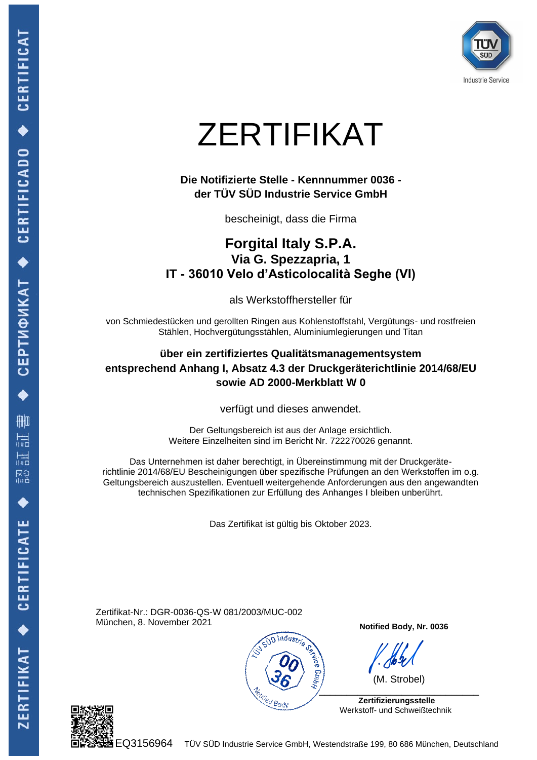

# ZERTIFIKAT

#### **Die Notifizierte Stelle - Kennnummer 0036 der TÜV SÜD Industrie Service GmbH**

bescheinigt, dass die Firma

## **Forgital Italy S.P.A. Via G. Spezzapria, 1 IT - 36010 Velo d'Asticolocalità Seghe (VI)**

als Werkstoffhersteller für

von Schmiedestücken und gerollten Ringen aus Kohlenstoffstahl, Vergütungs- und rostfreien Stählen, Hochvergütungsstählen, Aluminiumlegierungen und Titan

#### **über ein zertifiziertes Qualitätsmanagementsystem entsprechend Anhang I, Absatz 4.3 der Druckgeräterichtlinie 2014/68/EU sowie AD 2000-Merkblatt W 0**

verfügt und dieses anwendet.

Der Geltungsbereich ist aus der Anlage ersichtlich. Weitere Einzelheiten sind im Bericht Nr. 722270026 genannt.

Das Unternehmen ist daher berechtigt, in Übereinstimmung mit der Druckgeräterichtlinie 2014/68/EU Bescheinigungen über spezifische Prüfungen an den Werkstoffen im o.g. Geltungsbereich auszustellen. Eventuell weitergehende Anforderungen aus den angewandten technischen Spezifikationen zur Erfüllung des Anhanges I bleiben unberührt.

Das Zertifikat ist gültig bis Oktober 2023.

Zertifikat-Nr.: DGR-0036-QS-W 081/2003/MUC-002 München, 8. November 2021



**Notified Body, Nr. 0036**

 (M. Strobel)  $\mathcal{L}$ 

 **Zertifizierungsstelle** Werkstoff- und Schweißtechnik

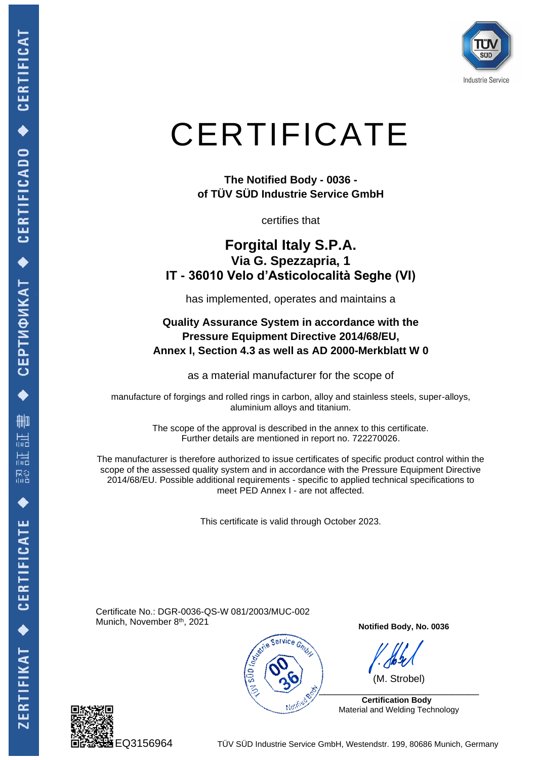

## **CERTIFICATE**

**The Notified Body - 0036 of TÜV SÜD Industrie Service GmbH** 

certifies that

## **Forgital Italy S.P.A. Via G. Spezzapria, 1 IT - 36010 Velo d'Asticolocalità Seghe (VI)**

has implemented, operates and maintains a

#### **Quality Assurance System in accordance with the Pressure Equipment Directive 2014/68/EU, Annex I, Section 4.3 as well as AD 2000-Merkblatt W 0**

as a material manufacturer for the scope of

manufacture of forgings and rolled rings in carbon, alloy and stainless steels, super-alloys, aluminium alloys and titanium.

> The scope of the approval is described in the annex to this certificate. Further details are mentioned in report no. 722270026.

The manufacturer is therefore authorized to issue certificates of specific product control within the scope of the assessed quality system and in accordance with the Pressure Equipment Directive 2014/68/EU. Possible additional requirements - specific to applied technical specifications to meet PED Annex I - are not affected.

This certificate is valid through October 2023.

Certificate No.: DGR-0036-QS-W 081/2003/MUC-002 Munich, November 8<sup>th</sup>, 2021



**Notified Body, No. 0036**

(M. Strobel)

 $\frac{1}{2}$  **Certification Body** 

Material and Welding Technology



EQ3156964 TÜV SÜD Industrie Service GmbH, Westendstr. 199, 80686 Munich, Germany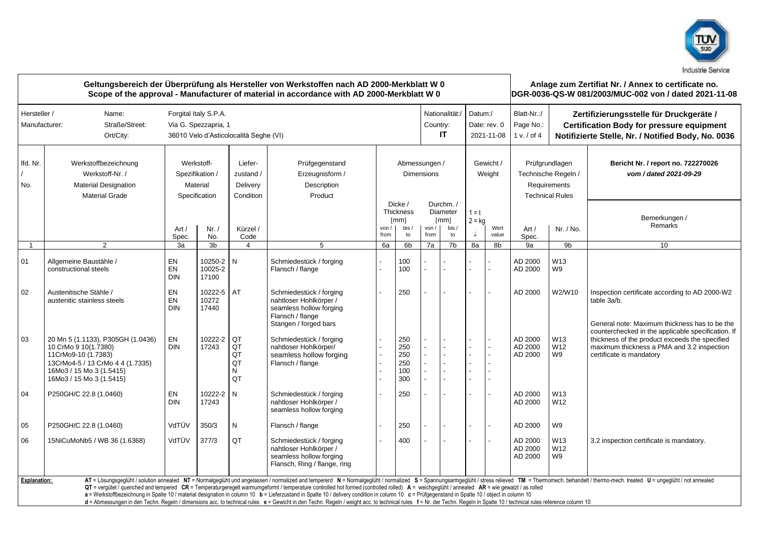

| Geltungsbereich der Überprüfung als Hersteller von Werkstoffen nach AD 2000-Merkblatt W 0<br>Scope of the approval - Manufacturer of material in accordance with AD 2000-Merkblatt W 0 |                                                                                                                                                                                                                                                                                                                                                                                                                                                                                                                                                                                                                                                                                                                                                                                                                                                                                |                                                                                         |                                                            |                                               |                                                                                                                           |              |                                                    |               |                                              |                                       | Anlage zum Zertifiat Nr. / Annex to certificate no.<br>DGR-0036-QS-W 081/2003/MUC-002 von / dated 2021-11-08 |                                                                                 |                                                                                                                                                   |                                                                                                                                                                                |  |
|----------------------------------------------------------------------------------------------------------------------------------------------------------------------------------------|--------------------------------------------------------------------------------------------------------------------------------------------------------------------------------------------------------------------------------------------------------------------------------------------------------------------------------------------------------------------------------------------------------------------------------------------------------------------------------------------------------------------------------------------------------------------------------------------------------------------------------------------------------------------------------------------------------------------------------------------------------------------------------------------------------------------------------------------------------------------------------|-----------------------------------------------------------------------------------------|------------------------------------------------------------|-----------------------------------------------|---------------------------------------------------------------------------------------------------------------------------|--------------|----------------------------------------------------|---------------|----------------------------------------------|---------------------------------------|--------------------------------------------------------------------------------------------------------------|---------------------------------------------------------------------------------|---------------------------------------------------------------------------------------------------------------------------------------------------|--------------------------------------------------------------------------------------------------------------------------------------------------------------------------------|--|
| Hersteller /<br>Manufacturer:                                                                                                                                                          | Name:<br>Straße/Street:<br>Ort/City:                                                                                                                                                                                                                                                                                                                                                                                                                                                                                                                                                                                                                                                                                                                                                                                                                                           | Forgital Italy S.P.A.<br>Via G. Spezzapria, 1<br>36010 Velo d'Asticolocalità Seghe (VI) |                                                            |                                               |                                                                                                                           |              |                                                    |               |                                              | Datum:/<br>Date: rev. 0<br>2021-11-08 |                                                                                                              | Blatt-Nr.:/<br>Page No.:<br>1 v. / of 4                                         | Zertifizierungsstelle für Druckgeräte /<br><b>Certification Body for pressure equipment</b><br>Notifizierte Stelle, Nr. / Notified Body, No. 0036 |                                                                                                                                                                                |  |
| Ifd. Nr.<br>No.                                                                                                                                                                        | Werkstoffbezeichnung<br>Werkstoff-Nr. /<br>Material Designation<br><b>Material Grade</b>                                                                                                                                                                                                                                                                                                                                                                                                                                                                                                                                                                                                                                                                                                                                                                                       |                                                                                         | Werkstoff-<br>Spezifikation /<br>Material<br>Specification | Liefer-<br>zustand /<br>Delivery<br>Condition | Prüfgegenstand<br>Erzeugnisform /<br>Description<br>Product                                                               |              |                                                    |               | Abmessungen /<br><b>Dimensions</b>           |                                       | Gewicht /<br>Weight                                                                                          | Prüfgrundlagen<br>Technische Regeln /<br>Requirements<br><b>Technical Rules</b> |                                                                                                                                                   | Bericht Nr. / report no. 722270026<br>vom / dated 2021-09-29                                                                                                                   |  |
|                                                                                                                                                                                        |                                                                                                                                                                                                                                                                                                                                                                                                                                                                                                                                                                                                                                                                                                                                                                                                                                                                                | Art/<br>Spec.                                                                           | Nr. /<br>No.                                               | Kürzel /<br>Code                              |                                                                                                                           | von.<br>from | Dicke /<br><b>Thickness</b><br>[mm]<br>bis /<br>to | von /<br>from | Durchm. /<br>Diameter<br>[mm]<br>bis /<br>to | $1 = t$<br>$2 = kg$<br>↓              | Wert<br>value                                                                                                | Nr. / No.<br>Art/<br>Spec.                                                      |                                                                                                                                                   | Bemerkungen /<br>Remarks                                                                                                                                                       |  |
| $\mathbf{1}$                                                                                                                                                                           | $\overline{2}$                                                                                                                                                                                                                                                                                                                                                                                                                                                                                                                                                                                                                                                                                                                                                                                                                                                                 | 3a                                                                                      | 3b                                                         | 4                                             | 5                                                                                                                         | 6a           | 6 <sub>b</sub>                                     | 7a            | 7b                                           | 8a                                    | 8b                                                                                                           | 9a                                                                              | 9b                                                                                                                                                | 10                                                                                                                                                                             |  |
| 01                                                                                                                                                                                     | Allgemeine Baustähle /<br>constructional steels                                                                                                                                                                                                                                                                                                                                                                                                                                                                                                                                                                                                                                                                                                                                                                                                                                | EN<br>EN<br><b>DIN</b>                                                                  | 10250-2 N<br>10025-2<br>17100                              |                                               | Schmiedestück / forging<br>Flansch / flange                                                                               |              | 100<br>100                                         |               |                                              |                                       |                                                                                                              | AD 2000<br>AD 2000                                                              | W13<br>W9                                                                                                                                         |                                                                                                                                                                                |  |
| 02                                                                                                                                                                                     | Austenitische Stähle /<br>austenitic stainless steels                                                                                                                                                                                                                                                                                                                                                                                                                                                                                                                                                                                                                                                                                                                                                                                                                          | EN<br>EN<br><b>DIN</b>                                                                  | 10222-5<br>10272<br>17440                                  | AT                                            | Schmiedestück / forging<br>nahtloser Hohlkörper /<br>seamless hollow forging<br>Flansch / flange<br>Stangen / forged bars |              | 250                                                |               |                                              |                                       |                                                                                                              | AD 2000                                                                         | W2/W10                                                                                                                                            | Inspection certificate according to AD 2000-W2<br>table 3a/b.<br>General note: Maximum thickness has to be the                                                                 |  |
| 03                                                                                                                                                                                     | 20 Mn 5 (1.1133), P305GH (1.0436)<br>10 CrMo 9 10(1.7380)<br>11CrMo9-10 (1.7383)<br>13CrMo4-5 / 13 CrMo 4 4 (1.7335)<br>16Mo3 / 15 Mo 3 (1.5415)<br>16Mo3 / 15 Mo 3 (1.5415)                                                                                                                                                                                                                                                                                                                                                                                                                                                                                                                                                                                                                                                                                                   | EN<br><b>DIN</b>                                                                        | 10222-2<br>17243                                           | QT<br>QT<br>QT<br>QT<br>N<br>QT               | Schmiedestück / forging<br>nahtloser Hohlkörper/<br>seamless hollow forging<br>Flansch / flange                           |              | 250<br>250<br>250<br>250<br>100<br>300             |               |                                              |                                       |                                                                                                              | AD 2000<br>AD 2000<br>AD 2000                                                   | W13<br>W12<br>W9                                                                                                                                  | counterchecked in the applicable specification. If<br>thickness of the product exceeds the specified<br>maximum thickness a PMA and 3.2 inspection<br>certificate is mandatory |  |
| 04                                                                                                                                                                                     | P250GH/C 22.8 (1.0460)                                                                                                                                                                                                                                                                                                                                                                                                                                                                                                                                                                                                                                                                                                                                                                                                                                                         | EN<br><b>DIN</b>                                                                        | 10222-2<br>17243                                           | N                                             | Schmiedestück / forging<br>nahtloser Hohlkörper /<br>seamless hollow forging                                              |              | 250                                                |               |                                              |                                       |                                                                                                              | AD 2000<br>AD 2000                                                              | W13<br>W12                                                                                                                                        |                                                                                                                                                                                |  |
| 05                                                                                                                                                                                     | P250GH/C 22.8 (1.0460)                                                                                                                                                                                                                                                                                                                                                                                                                                                                                                                                                                                                                                                                                                                                                                                                                                                         | VdTÜV                                                                                   | 350/3                                                      | ${\sf N}$                                     | Flansch / flange                                                                                                          |              | 250                                                |               |                                              |                                       |                                                                                                              | AD 2000                                                                         | W9                                                                                                                                                |                                                                                                                                                                                |  |
| 06                                                                                                                                                                                     | 15NiCuMoNb5 / WB 36 (1.6368)                                                                                                                                                                                                                                                                                                                                                                                                                                                                                                                                                                                                                                                                                                                                                                                                                                                   | VdTÜV                                                                                   | 377/3                                                      | QT                                            | Schmiedestück / forging<br>nahtloser Hohlkörper /<br>seamless hollow forging<br>Flansch, Ring / flange, ring              |              | 400                                                |               |                                              |                                       |                                                                                                              | AD 2000<br>AD 2000<br>AD 2000                                                   | W13<br>W12<br>W9                                                                                                                                  | 3.2 inspection certificate is mandatory.                                                                                                                                       |  |
|                                                                                                                                                                                        | AT = Lösungsgeglüht / solution annealed NT = Normalgeglüht und angelassen / normalized and tempererd N = Normalgeglüht / normalized S = Spannungsarmgeglüht / stress relieved TM = Thermomech. behandelt / thermo-mech. treate<br>Explanation:<br>QT = verqütet / quenched and tempered CR = Temperaturgeregelt warmumgeformt / temperature controlled hot formed (controlled rolled) A = weichgeglüht / annealed AR = wie gewalzt / as rolled<br>a = Werkstoffbezeichnung in Spalte 10 / material designation in column 10 b = Lieferzustand in Spalte 10 / delivery condition in column 10 c = Prüfgegenstand in Spalte 10 / object in column 10<br>d = Abmessungen in den Techn. Regeln / dimensions acc. to technical rules e = Gewicht in den Techn. Regeln / weight acc. to technical rules f = Nr. der Techn. Regeln in Spalte 10 / technical rules reference column 10 |                                                                                         |                                                            |                                               |                                                                                                                           |              |                                                    |               |                                              |                                       |                                                                                                              |                                                                                 |                                                                                                                                                   |                                                                                                                                                                                |  |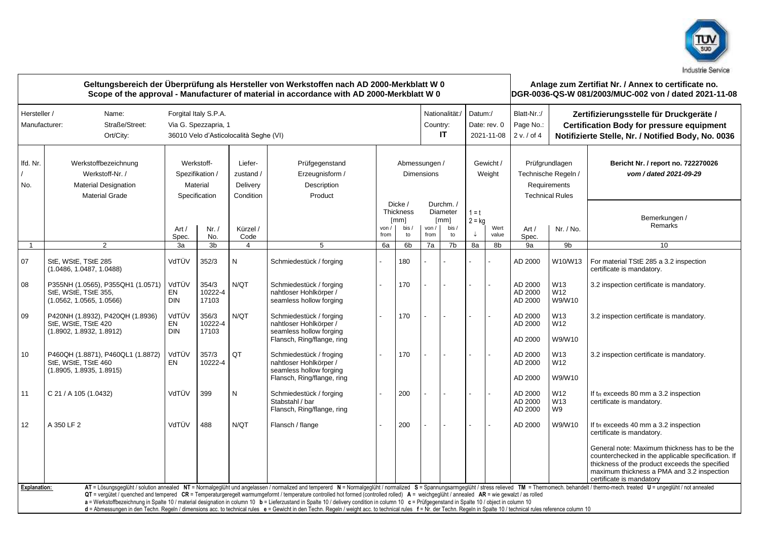

| Geltungsbereich der Überprüfung als Hersteller von Werkstoffen nach AD 2000-Merkblatt W 0<br>Scope of the approval - Manufacturer of material in accordance with AD 2000-Merkblatt W 0 |                                                                                                                                                                                                                                                                                                                                                                                                                                                                                                                                                                                                                                                                                                                                                                                                                                                                                |                                                                                                             |                           |                  |                                                                                                            |               |                                                          |                                    |                                             |                                       | Anlage zum Zertifiat Nr. / Annex to certificate no.<br>DGR-0036-QS-W 081/2003/MUC-002 von / dated 2021-11-08 |                                                                                 |                                                                                                                                                   |                                                                                                                                                                                                                                                                                                                  |
|----------------------------------------------------------------------------------------------------------------------------------------------------------------------------------------|--------------------------------------------------------------------------------------------------------------------------------------------------------------------------------------------------------------------------------------------------------------------------------------------------------------------------------------------------------------------------------------------------------------------------------------------------------------------------------------------------------------------------------------------------------------------------------------------------------------------------------------------------------------------------------------------------------------------------------------------------------------------------------------------------------------------------------------------------------------------------------|-------------------------------------------------------------------------------------------------------------|---------------------------|------------------|------------------------------------------------------------------------------------------------------------|---------------|----------------------------------------------------------|------------------------------------|---------------------------------------------|---------------------------------------|--------------------------------------------------------------------------------------------------------------|---------------------------------------------------------------------------------|---------------------------------------------------------------------------------------------------------------------------------------------------|------------------------------------------------------------------------------------------------------------------------------------------------------------------------------------------------------------------------------------------------------------------------------------------------------------------|
| Hersteller /<br>Manufacturer:                                                                                                                                                          | Name:<br>Straße/Street:<br>Ort/City:                                                                                                                                                                                                                                                                                                                                                                                                                                                                                                                                                                                                                                                                                                                                                                                                                                           | Forgital Italy S.P.A.<br>Via G. Spezzapria, 1<br>36010 Velo d'Asticolocalità Seghe (VI)                     |                           |                  |                                                                                                            |               |                                                          |                                    |                                             | Datum:/<br>Date: rev. 0<br>2021-11-08 |                                                                                                              | Blatt-Nr.:/<br>Page No.:<br>2 v. / of 4                                         | Zertifizierungsstelle für Druckgeräte /<br><b>Certification Body for pressure equipment</b><br>Notifizierte Stelle, Nr. / Notified Body, No. 0036 |                                                                                                                                                                                                                                                                                                                  |
| Ifd. Nr.<br>No.                                                                                                                                                                        | Werkstoffbezeichnung<br>Werkstoff-Nr. /<br><b>Material Designation</b><br><b>Material Grade</b>                                                                                                                                                                                                                                                                                                                                                                                                                                                                                                                                                                                                                                                                                                                                                                                | Werkstoff-<br>Liefer-<br>Spezifikation /<br>zustand /<br>Material<br>Delivery<br>Specification<br>Condition |                           |                  | Prüfgegenstand<br>Erzeugnisform /<br>Description<br>Product                                                |               |                                                          | Abmessungen /<br><b>Dimensions</b> |                                             | Gewicht /<br>Weight                   |                                                                                                              | Prüfgrundlagen<br>Technische Regeln /<br>Requirements<br><b>Technical Rules</b> |                                                                                                                                                   | Bericht Nr. / report no. 722270026<br>vom / dated 2021-09-29                                                                                                                                                                                                                                                     |
|                                                                                                                                                                                        |                                                                                                                                                                                                                                                                                                                                                                                                                                                                                                                                                                                                                                                                                                                                                                                                                                                                                | Art/<br>Spec.                                                                                               | Nr. /<br>No.              | Kürzel /<br>Code |                                                                                                            | von /<br>from | Dicke /<br>Thickness<br>$\lceil mm \rceil$<br>bis/<br>to | von /<br>from                      | Durchm./<br>Diameter<br>[mm]<br>bis /<br>to | $1 = t$<br>$2 = kg$<br>↓              | Wert<br>value                                                                                                | Art/<br>Spec.                                                                   | Nr. / No.                                                                                                                                         | Bemerkungen /<br>Remarks                                                                                                                                                                                                                                                                                         |
| $\overline{1}$                                                                                                                                                                         | $\overline{2}$                                                                                                                                                                                                                                                                                                                                                                                                                                                                                                                                                                                                                                                                                                                                                                                                                                                                 | 3a                                                                                                          | 3b                        | $\overline{4}$   | 5                                                                                                          | 6a            | 6 <sub>b</sub>                                           | 7a                                 | 7b                                          | 8a                                    | 8b                                                                                                           | 9a                                                                              | 9b                                                                                                                                                | 10                                                                                                                                                                                                                                                                                                               |
| 07                                                                                                                                                                                     | StE. WStE. TStE 285<br>(1.0486, 1.0487, 1.0488)                                                                                                                                                                                                                                                                                                                                                                                                                                                                                                                                                                                                                                                                                                                                                                                                                                | VdTÜV                                                                                                       | 352/3                     | N                | Schmiedestück / forging                                                                                    |               | 180                                                      |                                    |                                             |                                       |                                                                                                              | AD 2000                                                                         | W10/W13                                                                                                                                           | For material TStE 285 a 3.2 inspection<br>certificate is mandatory.                                                                                                                                                                                                                                              |
| 08                                                                                                                                                                                     | P355NH (1.0565), P355QH1 (1.0571)<br>StE. WStE. TStE 355.<br>(1.0562, 1.0565, 1.0566)                                                                                                                                                                                                                                                                                                                                                                                                                                                                                                                                                                                                                                                                                                                                                                                          | VdTÜV<br>EN<br><b>DIN</b>                                                                                   | 354/3<br>10222-4<br>17103 | N/QT             | Schmiedestück / forging<br>nahtloser Hohlkörper /<br>seamless hollow forging                               |               | 170                                                      |                                    |                                             |                                       |                                                                                                              | AD 2000<br>AD 2000<br>AD 2000                                                   | W13<br>W12<br>W9/W10                                                                                                                              | 3.2 inspection certificate is mandatory.                                                                                                                                                                                                                                                                         |
| 09                                                                                                                                                                                     | P420NH (1.8932), P420QH (1.8936)<br>StE. WStE. TStE 420<br>(1.8902, 1.8932, 1.8912)                                                                                                                                                                                                                                                                                                                                                                                                                                                                                                                                                                                                                                                                                                                                                                                            | VdTÜV<br><b>EN</b><br><b>DIN</b>                                                                            | 356/3<br>10222-4<br>17103 | N/QT             | Schmiedestück / forging<br>nahtloser Hohlkörper /<br>seamless hollow forging<br>Flansch, Ring/flange, ring |               | 170                                                      |                                    |                                             |                                       |                                                                                                              | AD 2000<br>AD 2000<br>AD 2000                                                   | W13<br>W12<br>W9/W10                                                                                                                              | 3.2 inspection certificate is mandatory.                                                                                                                                                                                                                                                                         |
| 10                                                                                                                                                                                     | P460QH (1.8871), P460QL1 (1.8872)<br>StE, WStE, TStE 460<br>(1.8905, 1.8935, 1.8915)                                                                                                                                                                                                                                                                                                                                                                                                                                                                                                                                                                                                                                                                                                                                                                                           | VdTÜV<br>EN                                                                                                 | 357/3<br>10222-4          | QT               | Schmiedestück / froging<br>nahtloser Hohlkörper /<br>seamless hollow forging<br>Flansch, Ring/flange, ring |               | 170                                                      |                                    |                                             |                                       | $\overline{a}$                                                                                               | AD 2000<br>AD 2000<br>AD 2000                                                   | W13<br>W <sub>12</sub><br>W9/W10                                                                                                                  | 3.2 inspection certificate is mandatory.                                                                                                                                                                                                                                                                         |
| 11                                                                                                                                                                                     | C 21 / A 105 (1.0432)                                                                                                                                                                                                                                                                                                                                                                                                                                                                                                                                                                                                                                                                                                                                                                                                                                                          | VdTÜV                                                                                                       | 399                       | N                | Schmiedestück / forging<br>Stabstahl / bar<br>Flansch, Ring/flange, ring                                   |               | 200                                                      |                                    |                                             |                                       |                                                                                                              | AD 2000<br>AD 2000<br>AD 2000                                                   | W12<br>W13<br>W9                                                                                                                                  | If t <sub>R</sub> exceeds 80 mm a 3.2 inspection<br>certificate is mandatory.                                                                                                                                                                                                                                    |
| 12                                                                                                                                                                                     | A 350 LF 2                                                                                                                                                                                                                                                                                                                                                                                                                                                                                                                                                                                                                                                                                                                                                                                                                                                                     | VdTÜV                                                                                                       | 488                       | N/QT             | Flansch / flange                                                                                           |               | 200                                                      |                                    |                                             |                                       | ÷.                                                                                                           | AD 2000                                                                         | W9/W10                                                                                                                                            | If t <sub>R</sub> exceeds 40 mm a 3.2 inspection<br>certificate is mandatory.<br>General note: Maximum thickness has to be the<br>counterchecked in the applicable specification. If<br>thickness of the product exceeds the specified<br>maximum thickness a PMA and 3.2 inspection<br>certificate is mandatory |
|                                                                                                                                                                                        | AT = Lösungsgeglüht / solution annealed NT = Normalgeglüht und angelassen / normalized and tempererd N = Normalgeglüht / normalized S = Spannungsarmgeglüht / stress relieved TM = Thermomech. behandelt / thermo-mech. treate<br>Explanation:<br>QT = vergütet / quenched and tempered CR = Temperaturgeregelt warmumgeformt / temperature controlled hot formed (controlled rolled) A = weichgeglüht / annealed AR = wie gewalzt / as rolled<br>a = Werkstoffbezeichnung in Spalte 10 / material designation in column 10 b = Lieferzustand in Spalte 10 / delivery condition in column 10 c = Prüfgegenstand in Spalte 10 / object in column 10<br>d = Abmessungen in den Techn. Regeln / dimensions acc. to technical rules e = Gewicht in den Techn. Regeln / weight acc. to technical rules f = Nr. der Techn. Regeln in Spalte 10 / technical rules reference column 10 |                                                                                                             |                           |                  |                                                                                                            |               |                                                          |                                    |                                             |                                       |                                                                                                              |                                                                                 |                                                                                                                                                   |                                                                                                                                                                                                                                                                                                                  |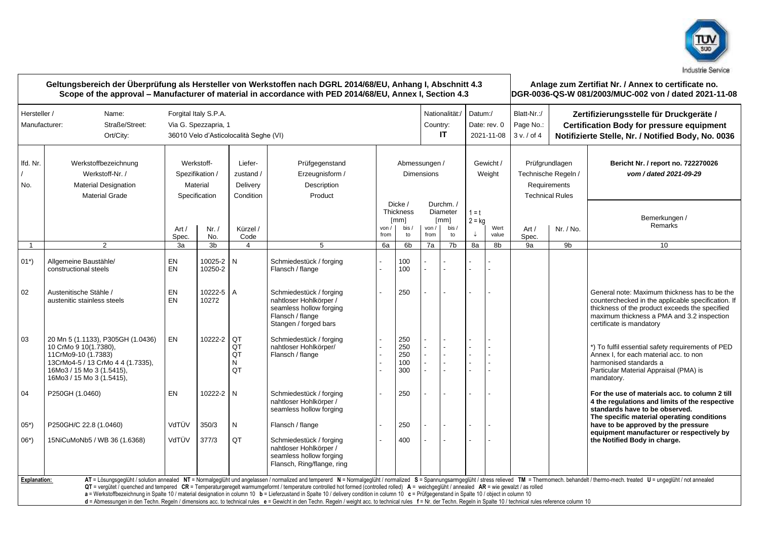

| Geltungsbereich der Überprüfung als Hersteller von Werkstoffen nach DGRL 2014/68/EU, Anhang I, Abschnitt 4.3<br>Scope of the approval – Manufacturer of material in accordance with PED 2014/68/EU, Annex I, Section 4.3 |                                                                                                                                                                                                                                                                                                                                                                                                                                                                                                                                                                                                                                                                                                                                                                                                                                                                |                                                                                         |                      |                                               |                                                                                                                           |                                    |                                                                 |                                        |                                                          |                                                         |               | Anlage zum Zertifiat Nr. / Annex to certificate no.<br>DGR-0036-QS-W 081/2003/MUC-002 von / dated 2021-11-08 |                                                                                                                                                   |                                                                                                                                                                                                                                 |  |
|--------------------------------------------------------------------------------------------------------------------------------------------------------------------------------------------------------------------------|----------------------------------------------------------------------------------------------------------------------------------------------------------------------------------------------------------------------------------------------------------------------------------------------------------------------------------------------------------------------------------------------------------------------------------------------------------------------------------------------------------------------------------------------------------------------------------------------------------------------------------------------------------------------------------------------------------------------------------------------------------------------------------------------------------------------------------------------------------------|-----------------------------------------------------------------------------------------|----------------------|-----------------------------------------------|---------------------------------------------------------------------------------------------------------------------------|------------------------------------|-----------------------------------------------------------------|----------------------------------------|----------------------------------------------------------|---------------------------------------------------------|---------------|--------------------------------------------------------------------------------------------------------------|---------------------------------------------------------------------------------------------------------------------------------------------------|---------------------------------------------------------------------------------------------------------------------------------------------------------------------------------------------------------------------------------|--|
| Hersteller /<br>Manufacturer:                                                                                                                                                                                            | Name:<br>Straße/Street:<br>Ort/City:                                                                                                                                                                                                                                                                                                                                                                                                                                                                                                                                                                                                                                                                                                                                                                                                                           | Forgital Italy S.P.A.<br>Via G. Spezzapria, 1<br>36010 Velo d'Asticolocalità Seghe (VI) |                      |                                               |                                                                                                                           |                                    |                                                                 |                                        |                                                          | Nationalität:/<br>Datum:/<br>Date: rev. 0<br>2021-11-08 |               | Blatt-Nr.:/<br>Page No.:<br>3 v. / of 4                                                                      | Zertifizierungsstelle für Druckgeräte /<br><b>Certification Body for pressure equipment</b><br>Notifizierte Stelle, Nr. / Notified Body, No. 0036 |                                                                                                                                                                                                                                 |  |
| Ifd. Nr.<br>No.                                                                                                                                                                                                          | Werkstoffbezeichnung<br>Werkstoff-Nr. /<br>Material Designation<br><b>Material Grade</b>                                                                                                                                                                                                                                                                                                                                                                                                                                                                                                                                                                                                                                                                                                                                                                       | Werkstoff-<br>Spezifikation /<br>Material<br>Specification                              |                      | Liefer-<br>zustand /<br>Delivery<br>Condition | Prüfgegenstand<br>Erzeugnisform /<br>Description<br>Product                                                               | Abmessungen /<br><b>Dimensions</b> |                                                                 |                                        |                                                          | Gewicht /<br>Weight                                     |               | Prüfgrundlagen<br>Technische Regeln /<br>Requirements<br><b>Technical Rules</b>                              |                                                                                                                                                   | Bericht Nr. / report no. 722270026<br>vom / dated 2021-09-29                                                                                                                                                                    |  |
|                                                                                                                                                                                                                          |                                                                                                                                                                                                                                                                                                                                                                                                                                                                                                                                                                                                                                                                                                                                                                                                                                                                | Art /<br>Spec.                                                                          | Nr. /<br>No.         | Kürzel /<br>Code                              |                                                                                                                           | von /<br>from                      | Dicke /<br><b>Thickness</b><br>$\lceil mm \rceil$<br>bis/<br>to | von /<br>from                          | Durchm./<br>Diameter<br>$\lceil mm \rceil$<br>bis/<br>to | $1 = t$<br>$2 = kq$<br>↓                                | Wert<br>value | Art $/$<br>Spec.                                                                                             | Nr. / No.                                                                                                                                         | Bemerkungen /<br>Remarks                                                                                                                                                                                                        |  |
| $\overline{1}$                                                                                                                                                                                                           | $\overline{2}$                                                                                                                                                                                                                                                                                                                                                                                                                                                                                                                                                                                                                                                                                                                                                                                                                                                 | 3a                                                                                      | 3b                   | $\overline{4}$                                | 5                                                                                                                         | 6a                                 | 6b                                                              | 7a                                     | 7b                                                       | 8a                                                      | 8b            | 9а                                                                                                           | 9b                                                                                                                                                | 10 <sup>1</sup>                                                                                                                                                                                                                 |  |
| $01^*$                                                                                                                                                                                                                   | Allgemeine Baustähle/<br>constructional steels                                                                                                                                                                                                                                                                                                                                                                                                                                                                                                                                                                                                                                                                                                                                                                                                                 | EN<br>EN                                                                                | 10025-2 N<br>10250-2 |                                               | Schmiedestück / forging<br>Flansch / flange                                                                               |                                    | 100<br>100                                                      |                                        |                                                          |                                                         |               |                                                                                                              |                                                                                                                                                   |                                                                                                                                                                                                                                 |  |
| 02                                                                                                                                                                                                                       | Austenitische Stähle /<br>austenitic stainless steels                                                                                                                                                                                                                                                                                                                                                                                                                                                                                                                                                                                                                                                                                                                                                                                                          | EN<br><b>EN</b>                                                                         | 10222-5 A<br>10272   |                                               | Schmiedestück / forging<br>nahtloser Hohlkörper /<br>seamless hollow forging<br>Flansch / flange<br>Stangen / forged bars |                                    | 250                                                             |                                        |                                                          |                                                         |               |                                                                                                              |                                                                                                                                                   | General note: Maximum thickness has to be the<br>counterchecked in the applicable specification. If<br>thickness of the product exceeds the specified<br>maximum thickness a PMA and 3.2 inspection<br>certificate is mandatory |  |
| 03                                                                                                                                                                                                                       | 20 Mn 5 (1.1133), P305GH (1.0436)<br>10 CrMo 9 10(1.7380),<br>11CrMo9-10 (1.7383)<br>13CrMo4-5 / 13 CrMo 4 4 (1.7335),<br>16Mo3 / 15 Mo 3 (1.5415),<br>16Mo3 / 15 Mo 3 (1.5415),                                                                                                                                                                                                                                                                                                                                                                                                                                                                                                                                                                                                                                                                               | <b>EN</b>                                                                               | 10222-2 OT           | QT<br>QT<br>N<br>QT                           | Schmiedestück / forging<br>nahtloser Hohlkörper/<br>Flansch / flange                                                      |                                    | 250<br>250<br>250<br>100<br>300                                 | $\overline{a}$<br>$\overline{a}$<br>L. | $\overline{a}$                                           |                                                         |               |                                                                                                              |                                                                                                                                                   | *) To fulfil essential safety requirements of PED<br>Annex I, for each material acc, to non<br>harmonised standards a<br>Particular Material Appraisal (PMA) is<br>mandatory.                                                   |  |
| 04                                                                                                                                                                                                                       | P250GH (1.0460)                                                                                                                                                                                                                                                                                                                                                                                                                                                                                                                                                                                                                                                                                                                                                                                                                                                | EN                                                                                      | 10222-2 N            |                                               | Schmiedestück / forging<br>nahtloser Hohlkörper /<br>seamless hollow forging                                              |                                    | 250                                                             |                                        |                                                          |                                                         |               |                                                                                                              |                                                                                                                                                   | For the use of materials acc. to column 2 till<br>4 the regulations and limits of the respective<br>standards have to be observed.<br>The specific material operating conditions                                                |  |
| $05*)$                                                                                                                                                                                                                   | P250GH/C 22.8 (1.0460)                                                                                                                                                                                                                                                                                                                                                                                                                                                                                                                                                                                                                                                                                                                                                                                                                                         | VdTÜV                                                                                   | 350/3                | N                                             | Flansch / flange                                                                                                          |                                    | 250                                                             |                                        |                                                          |                                                         |               |                                                                                                              |                                                                                                                                                   | have to be approved by the pressure                                                                                                                                                                                             |  |
| $06*)$                                                                                                                                                                                                                   | 15NiCuMoNb5 / WB 36 (1.6368)                                                                                                                                                                                                                                                                                                                                                                                                                                                                                                                                                                                                                                                                                                                                                                                                                                   | VdTÜV                                                                                   | 377/3                | QT                                            | Schmiedestück / forging<br>nahtloser Hohlkörper /<br>seamless hollow forging<br>Flansch, Ring/flange, ring                |                                    | 400                                                             |                                        |                                                          |                                                         |               |                                                                                                              |                                                                                                                                                   | equipment manufacturer or respectively by<br>the Notified Body in charge.                                                                                                                                                       |  |
| <b>Explanation:</b>                                                                                                                                                                                                      |                                                                                                                                                                                                                                                                                                                                                                                                                                                                                                                                                                                                                                                                                                                                                                                                                                                                |                                                                                         |                      |                                               |                                                                                                                           |                                    |                                                                 |                                        |                                                          |                                                         |               |                                                                                                              |                                                                                                                                                   |                                                                                                                                                                                                                                 |  |
|                                                                                                                                                                                                                          | AT = Lösungsgeglüht / solution annealed NT = Normalgeglüht und angelassen / normalized and tempererd N = Normalgeglüht / normalized S = Spannungsarmgeglüht / stress relieved TM = Thermomech. behandelt / thermo-mech. treate<br>QT = vergütet / quenched and tempered CR = Temperaturgeregelt warmumgeformt / temperature controlled hot formed (controlled rolled) A = weichgeglüht / annealed AR = wie gewalzt / as rolled<br>a = Werkstoffbezeichnung in Spalte 10 / material designation in column 10 b = Lieferzustand in Spalte 10 / delivery condition in column 10 c = Prüfgegenstand in Spalte 10 / object in column 10<br>d = Abmessungen in den Techn. Regeln / dimensions acc. to technical rules e = Gewicht in den Techn. Regeln / weight acc. to technical rules f = Nr. der Techn. Regeln in Spalte 10 / technical rules reference column 10 |                                                                                         |                      |                                               |                                                                                                                           |                                    |                                                                 |                                        |                                                          |                                                         |               |                                                                                                              |                                                                                                                                                   |                                                                                                                                                                                                                                 |  |